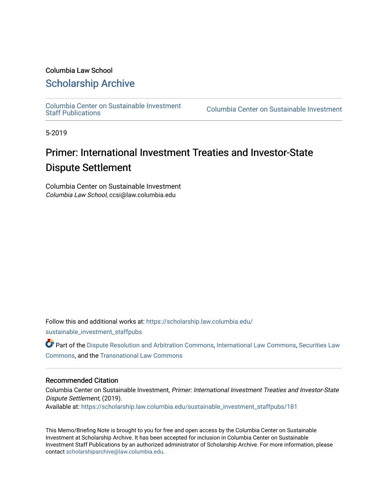# Columbia Law School

# [Scholarship Archive](https://scholarship.law.columbia.edu/)

[Columbia Center on Sustainable Investment](https://scholarship.law.columbia.edu/sustainable_investment_staffpubs) 

Columbia Center on Sustainable Investment

5-2019

# Primer: International Investment Treaties and Investor-State Dispute Settlement

Columbia Center on Sustainable Investment Columbia Law School, ccsi@law.columbia.edu

Follow this and additional works at: [https://scholarship.law.columbia.edu/](https://scholarship.law.columbia.edu/sustainable_investment_staffpubs?utm_source=scholarship.law.columbia.edu%2Fsustainable_investment_staffpubs%2F181&utm_medium=PDF&utm_campaign=PDFCoverPages)

[sustainable\\_investment\\_staffpubs](https://scholarship.law.columbia.edu/sustainable_investment_staffpubs?utm_source=scholarship.law.columbia.edu%2Fsustainable_investment_staffpubs%2F181&utm_medium=PDF&utm_campaign=PDFCoverPages)

Part of the [Dispute Resolution and Arbitration Commons,](http://network.bepress.com/hgg/discipline/890?utm_source=scholarship.law.columbia.edu%2Fsustainable_investment_staffpubs%2F181&utm_medium=PDF&utm_campaign=PDFCoverPages) [International Law Commons](http://network.bepress.com/hgg/discipline/609?utm_source=scholarship.law.columbia.edu%2Fsustainable_investment_staffpubs%2F181&utm_medium=PDF&utm_campaign=PDFCoverPages), [Securities Law](http://network.bepress.com/hgg/discipline/619?utm_source=scholarship.law.columbia.edu%2Fsustainable_investment_staffpubs%2F181&utm_medium=PDF&utm_campaign=PDFCoverPages)  [Commons](http://network.bepress.com/hgg/discipline/619?utm_source=scholarship.law.columbia.edu%2Fsustainable_investment_staffpubs%2F181&utm_medium=PDF&utm_campaign=PDFCoverPages), and the [Transnational Law Commons](http://network.bepress.com/hgg/discipline/1123?utm_source=scholarship.law.columbia.edu%2Fsustainable_investment_staffpubs%2F181&utm_medium=PDF&utm_campaign=PDFCoverPages)

#### Recommended Citation

Columbia Center on Sustainable Investment, Primer: International Investment Treaties and Investor-State Dispute Settlement, (2019). Available at: [https://scholarship.law.columbia.edu/sustainable\\_investment\\_staffpubs/181](https://scholarship.law.columbia.edu/sustainable_investment_staffpubs/181?utm_source=scholarship.law.columbia.edu%2Fsustainable_investment_staffpubs%2F181&utm_medium=PDF&utm_campaign=PDFCoverPages) 

This Memo/Briefing Note is brought to you for free and open access by the Columbia Center on Sustainable Investment at Scholarship Archive. It has been accepted for inclusion in Columbia Center on Sustainable Investment Staff Publications by an authorized administrator of Scholarship Archive. For more information, please contact [scholarshiparchive@law.columbia.edu.](mailto:scholarshiparchive@law.columbia.edu)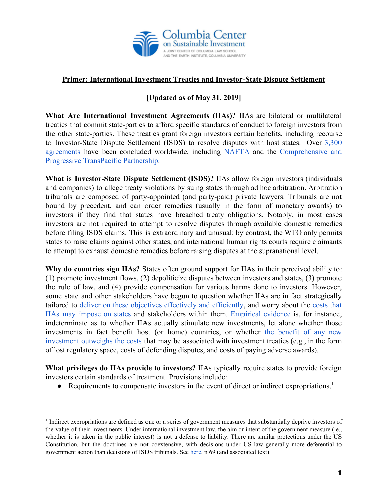

# **Primer: International Investment Treaties and Investor-State Dispute Settlement**

# **[Updated as of May 31, 2019]**

**What Are International Investment Agreements (IIAs)?** IIAs are bilateral or multilateral treaties that commit state-parties to afford specific standards of conduct to foreign investors from the other state-parties. These treaties grant foreign investors certain benefits, including recourse to Investor-State Dispute Settlement (ISDS) to resolve disputes with host states. Over [3,300](https://investmentpolicyhub.unctad.org/IIA) [agreements](https://investmentpolicyhub.unctad.org/IIA) have been concluded worldwide, including [NAFTA](https://investmentpolicyhub.unctad.org/IIA/country/223/treaty/3104) and the [Comprehensive](https://investmentpolicyhub.unctad.org/IIA/treaty/3808?bt=true&oiia=true&sy=-1&ey=-1&dos=true&dei=false&dot=false&sin=true&ss=true&sif=true&st=true&rot=true&wt=false&nt=false&ol=false&np=true&wp=false&wsi=false&freeText=comprehensive%20and%20progressive%20&tit=true&titf=false&intra=false&extra=false&ais=false&ro=false&ro_by=false&ro_ing=false&io=false&io_by=false&io_ing=false&sttype_1=true&sttype_2=true&sttype_3=true&sttype_4=true) and [Progressive TransPacific Partnership](https://investmentpolicyhub.unctad.org/IIA/treaty/3808?bt=true&oiia=true&sy=-1&ey=-1&dos=true&dei=false&dot=false&sin=true&ss=true&sif=true&st=true&rot=true&wt=false&nt=false&ol=false&np=true&wp=false&wsi=false&freeText=comprehensive%20and%20progressive%20&tit=true&titf=false&intra=false&extra=false&ais=false&ro=false&ro_by=false&ro_ing=false&io=false&io_by=false&io_ing=false&sttype_1=true&sttype_2=true&sttype_3=true&sttype_4=true).

**What is Investor-State Dispute Settlement (ISDS)?** IIAs allow foreign investors (individuals and companies) to allege treaty violations by suing states through ad hoc arbitration. Arbitration tribunals are composed of party-appointed (and party-paid) private lawyers. Tribunals are not bound by precedent, and can order remedies (usually in the form of monetary awards) to investors if they find that states have breached treaty obligations. Notably, in most cases investors are not required to attempt to resolve disputes through available domestic remedies before filing ISDS claims. This is extraordinary and unusual: by contrast, the WTO only permits states to raise claims against other states, and international human rights courts require claimants to attempt to exhaust domestic remedies before raising disputes at the supranational level.

**Why do countries sign IIAs?** States often ground support for IIAs in their perceived ability to: (1) promote investment flows, (2) depoliticize disputes between investors and states, (3) promote the rule of law, and (4) provide compensation for various harms done to investors. However, some state and other stakeholders have begun to question whether IIAs are in fact strategically tailored to deliver on these objectives [effectively](http://ccsi.columbia.edu/2017/12/11/investor-state-dispute-settlement-what-are-we-trying-to-achieve-does-isds-get-us-there/) and efficiently, and worry about the [costs](http://ccsi.columbia.edu/2018/04/20/costs-benefits-iias/) that IIAs may [impose](http://ccsi.columbia.edu/2018/04/20/costs-benefits-iias/) on states and stakeholders within them. [Empirical](https://www.iisd.org/sites/default/files/publications/assessing-impacts-investment-treaties.pdf) evidence is, for instance, indeterminate as to whether IIAs actually stimulate new investments, let alone whether those investments in fact benefit host (or home) countries, or whether the [benefit](https://www.oecd-ilibrary.org/finance-and-investment/societal-benefits-and-costs-of-international-investment-agreements_e5f85c3d-en) of any new [investment](https://www.oecd-ilibrary.org/finance-and-investment/societal-benefits-and-costs-of-international-investment-agreements_e5f85c3d-en) outweighs the costs that may be associated with investment treaties (e.g., in the form of lost regulatory space, costs of defending disputes, and costs of paying adverse awards).

**What privileges do IIAs provide to investors?** IIAs typically require states to provide foreign investors certain standards of treatment. Provisions include:

• Requirements to compensate investors in the event of direct or indirect expropriations, $<sup>1</sup>$ </sup>

<sup>1</sup> Indirect expropriations are defined as one or a series of government measures that substantially deprive investors of the value of their investments. Under international investment law, the aim or intent of the government measure (ie., whether it is taken in the public interest) is not a defense to liability. There are similar protections under the US Constitution, but the doctrines are not coextensive, with decisions under US law generally more deferential to government action than decisions of ISDS tribunals. See [here,](http://ccsi.columbia.edu/2018/04/20/costs-benefits-iias/) n 69 (and associated text).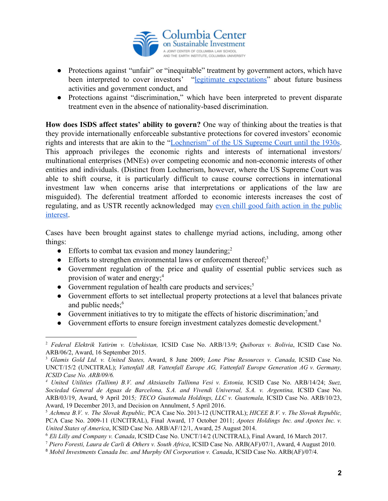

- Protections against "unfair" or "inequitable" treatment by government actors, which have been interpreted to cover investors' "legitimate [expectations"](https://www.uclalawreview.org/fundamental-shift-in-power/) about future business activities and government conduct, and
- Protections against "discrimination," which have been interpreted to prevent disparate treatment even in the absence of nationality-based discrimination.

**How does ISDS affect states' ability to govern?** One way of thinking about the treaties is that they provide internationally enforceable substantive protections for covered investors' economic rights and interests that are akin to the ["Lochnerism"](http://sites.gsu.edu/us-constipedia/west-coast-hotel-v-parrish-1937/) of the US Supreme Court until the 1930s. This approach privileges the economic rights and interests of international investors/ multinational enterprises (MNEs) over competing economic and non-economic interests of other entities and individuals. (Distinct from Lochnerism, however, where the US Supreme Court was able to shift course, it is particularly difficult to cause course corrections in international investment law when concerns arise that interpretations or applications of the law are misguided). The deferential treatment afforded to economic interests increases the cost of regulating, and as USTR recently acknowledged may even chill good faith action in the [public](https://worldtradelaw.typepad.com/ielpblog/2018/03/brady-lighthizer-isds-exchange.html) [interest](https://worldtradelaw.typepad.com/ielpblog/2018/03/brady-lighthizer-isds-exchange.html).

Cases have been brought against states to challenge myriad actions, including, among other things:

- Efforts to combat tax evasion and money laundering;<sup>2</sup>
- Efforts to strengthen environmental laws or enforcement thereof; $3$
- Government regulation of the price and quality of essential public services such as provision of water and energy;<sup>4</sup>
- Government regulation of health care products and services; $<sup>5</sup>$ </sup>
- Government efforts to set intellectual property protections at a level that balances private and public needs;<sup>6</sup>
- Government initiatives to try to mitigate the effects of historic discrimination;  $7$  and
- Government efforts to ensure foreign investment catalyzes domestic development.<sup>8</sup>

<sup>2</sup> *Federal Elektrik Yatirim v. Uzbekistan,* ICSID Case No. ARB/13/9; *Quiborax v. Bolivia*, ICSID Case No. ARB/06/2, Award, 16 September 2015.

<sup>3</sup> *Glamis Gold Ltd. v. United States,* Award, 8 June 2009; *Lone Pine Resources v. Canada,* ICSID Case No. UNCT/15/2 (UNCITRAL); *Vattenfall AB, Vattenfall Europe AG, Vattenfall Europe Generation AG v. Germany, ICSID Case No. ARB/09/6.*

*<sup>4</sup> United Utilities (Tallinn) B.V. and Aktsiaselts Tallinna Vesi v. Estonia,* ICSID Case No. ARB/14/24; *Suez, Sociedad General de Aguas de Barcelona, S.A. and Vivendi Universal, S.A. v. Argentina,* ICSID Case No. ARB/03/19, Award, 9 April 2015*; TECO Guatemala Holdings, LLC v. Guatemala,* ICSID Case No. ARB/10/23, Award, 19 December 2013, and Decision on Annulment, 5 April 2016.

<sup>5</sup> *Achmea B.V. v. The Slovak Republic,* PCA Case No. 2013-12 (UNCITRAL); *HICEE B.V. v. The Slovak Republic,* PCA Case No. 2009-11 (UNCITRAL), Final Award, 17 October 2011; *Apotex Holdings Inc. and Apotex Inc. v. United States of America*, ICSID Case No. ARB/AF/12/1, Award, 25 August 2014.

<sup>6</sup> *Eli Lilly and Company v. Canada*, ICSID Case No. UNCT/14/2 (UNCITRAL), Final Award, 16 March 2017.

<sup>7</sup> *Piero Foresti, Laura de Carli & Others v. South Africa*, ICSID Case No. ARB(AF)/07/1, Award, 4 August 2010.

<sup>8</sup> *Mobil Investments Canada Inc. and Murphy Oil Corporation v. Canada*, ICSID Case No. ARB(AF)/07/4.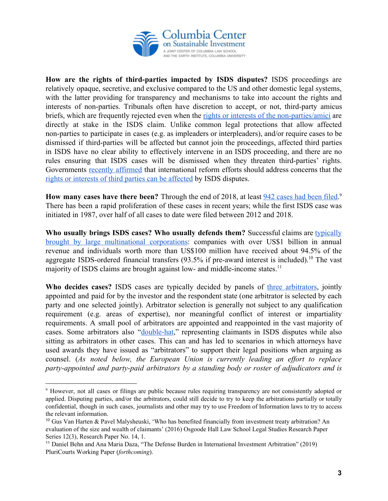

**How are the rights of third-parties impacted by ISDS disputes?** ISDS proceedings are relatively opaque, secretive, and exclusive compared to the US and other domestic legal systems, with the latter providing for transparency and mechanisms to take into account the rights and interests of non-parties. Tribunals often have discretion to accept, or not, third-party amicus briefs, which are frequently rejected even when the rights or interests of the [non-parties/amici](https://pubs.iied.org/17638IIED/?s=IIEDBRIEF) are directly at stake in the ISDS claim. Unlike common legal protections that allow affected non-parties to participate in cases (e.g. as impleaders or interpleaders), and/or require cases to be dismissed if third-parties will be affected but cannot join the proceedings, affected third parties in ISDS have no clear ability to effectively intervene in an ISDS proceeding, and there are no rules ensuring that ISDS cases will be dismissed when they threaten third-parties' rights. Governments recently [affirmed](http://www.uncitral.org/uncitral/en/commission/working_groups/3Investor_State.html) that international reform efforts should address concerns that the [rights or interests of third parties can be affected](http://ccsi.columbia.edu/work/projects/access-to-justice/) by ISDS disputes.

**How many cases have there been?** Through the end of 2018, at least 942 [cases](https://investmentpolicyhub.unctad.org/ISDS/AdvancedSearchResults) had been filed. 9 There has been a rapid proliferation of these cases in recent years; while the first ISDS case was initiated in 1987, over half of all cases to date were filed between 2012 and 2018.

**Who usually brings ISDS cases? Who usually defends them?** Successful claims are [typically](https://digitalcommons.osgoode.yorku.ca/cgi/viewcontent.cgi?referer=https://www.google.com/&httpsredir=1&article=1136&context=olsrps) brought by large [multinational](https://digitalcommons.osgoode.yorku.ca/cgi/viewcontent.cgi?referer=https://www.google.com/&httpsredir=1&article=1136&context=olsrps) corporations: companies with over US\$1 billion in annual revenue and individuals worth more than US\$100 million have received about 94.5% of the aggregate ISDS-ordered financial transfers  $(93.5\%$  if pre-award interest is included).<sup>10</sup> The vast majority of ISDS claims are brought against low- and middle-income states.<sup>11</sup>

**Who decides cases?** ISDS cases are typically decided by panels of three [arbitrators](https://www.tni.org/en/briefing/profiting-injustice), jointly appointed and paid for by the investor and the respondent state (one arbitrator is selected by each party and one selected jointly). Arbitrator selection is generally not subject to any qualification requirement (e.g. areas of expertise), nor meaningful conflict of interest or impartiality requirements. A small pool of arbitrators are appointed and reappointed in the vast majority of cases. Some arbitrators also "[double-hat,](https://esil-sedi.eu/post_name-118/)" representing claimants in ISDS disputes while also sitting as arbitrators in other cases. This can and has led to scenarios in which attorneys have used awards they have issued as "arbitrators" to support their legal positions when arguing as counsel. (*As noted below, the European Union is currently leading an effort to replace party-appointed and party-paid arbitrators by a standing body or roster of adjudicators and is*

<sup>&</sup>lt;sup>9</sup> However, not all cases or filings are public because rules requiring transparency are not consistently adopted or applied. Disputing parties, and/or the arbitrators, could still decide to try to keep the arbitrations partially or totally confidential, though in such cases, journalists and other may try to use Freedom of Information laws to try to access the relevant information.

<sup>10</sup> Gus Van Harten & Pavel Malysheuski, 'Who has benefited financially from investment treaty arbitration? An evaluation of the size and wealth of claimants' (2016) Osgoode Hall Law School Legal Studies Research Paper Series 12(3), Research Paper No. 14, 1.

<sup>11</sup> Daniel Behn and Ana Maria Daza, "The Defense Burden in International Investment Arbitration" (2019) PluriCourts Working Paper (*forthcoming*).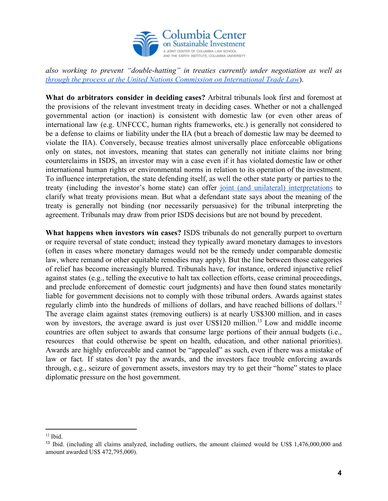

*also working to prevent "double-hatting" in treaties currently under negotiation as well as [through the process at the United Nations Commission on International Trade Law](https://uncitral.un.org/en/working_groups/3/investor-state)*).

**What do arbitrators consider in deciding cases?** Arbitral tribunals look first and foremost at the provisions of the relevant investment treaty in deciding cases. Whether or not a challenged governmental action (or inaction) is consistent with domestic law (or even other areas of international law (e.g. UNFCCC, human rights frameworks, etc.) is generally not considered to be a defense to claims or liability under the IIA (but a breach of domestic law may be deemed to violate the IIA). Conversely, because treaties almost universally place enforceable obligations only on states, not investors, meaning that states can generally not initiate claims nor bring counterclaims in ISDS, an investor may win a case even if it has violated domestic law or other international human rights or environmental norms in relation to its operation of the investment. To influence interpretation, the state defending itself, as well the other state party or parties to the treaty (including the investor's home state) can offer joint (and unilateral) [interpretations](http://ccsi.columbia.edu/files/2014/04/State_control_over_treaty_interpretation_FINAL-April-5_2014.pdf) to clarify what treaty provisions mean. But what a defendant state says about the meaning of the treaty is generally not binding (nor necessarily persuasive) for the tribunal interpreting the agreement. Tribunals may draw from prior ISDS decisions but are not bound by precedent.

**What happens when investors win cases?** ISDS tribunals do not generally purport to overturn or require reversal of state conduct; instead they typically award monetary damages to investors (often in cases where monetary damages would not be the remedy under comparable domestic law, where remand or other equitable remedies may apply). But the line between those categories of relief has become increasingly blurred. Tribunals have, for instance, ordered injunctive relief against states (e.g., telling the executive to halt tax collection efforts, cease criminal proceedings, and preclude enforcement of domestic court judgments) and have then found states monetarily liable for government decisions not to comply with those tribunal orders. Awards against states regularly climb into the hundreds of millions of dollars, and have reached billions of dollars.<sup>12</sup> The average claim against states (removing outliers) is at nearly US\$300 million, and in cases won by investors, the average award is just over US\$120 million.<sup>13</sup> Low and middle income countries are often subject to awards that consume large portions of their annual budgets (i.e., resources that could otherwise be spent on health, education, and other national priorities). Awards are highly enforceable and cannot be "appealed" as such, even if there was a mistake of law or fact. If states don't pay the awards, and the investors face trouble enforcing awards through, e.g., seizure of government assets, investors may try to get their "home" states to place diplomatic pressure on the host government.

 $12$  Ibid.

<sup>&</sup>lt;sup>13</sup> Ibid. (including all claims analyzed, including outliers, the amount claimed would be US\$ 1,476,000,000 and amount awarded US\$ 472,795,000).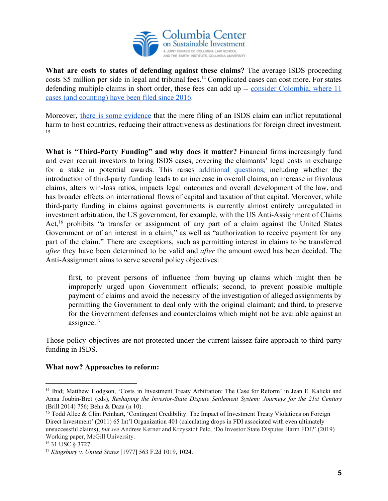

**What are costs to states of defending against these claims?** The average ISDS proceeding costs \$5 million per side in legal and tribunal fees.<sup>14</sup> Complicated cases can cost more. For states defending multiple claims in short order, these fees can add up -- consider [Colombia,](https://investmentpolicyhub.unctad.org/ISDS/CountryCases/45?partyRole=2) where 11 [cases \(and counting\) have been filed since 2016.](https://investmentpolicyhub.unctad.org/ISDS/CountryCases/45?partyRole=2)

Moreover, there is some [evidence](https://www.jstor.org/stable/23016160?seq=1#page_scan_tab_contents) that the mere filing of an ISDS claim can inflict reputational harm to host countries, reducing their attractiveness as destinations for foreign direct investment. 15

**What is "Third-Party Funding" and why does it matter?** Financial firms increasingly fund and even recruit investors to bring ISDS cases, covering the claimants' legal costs in exchange for a stake in potential awards. This raises [additional](http://ccsi.columbia.edu/work/projects/third-party-funding-in-investor-state-dispute-settlement/) questions, including whether the introduction of third-party funding leads to an increase in overall claims, an increase in frivolous claims, alters win-loss ratios, impacts legal outcomes and overall development of the law, and has broader effects on international flows of capital and taxation of that capital. Moreover, while third-party funding in claims against governments is currently almost entirely unregulated in investment arbitration, the US government, for example, with the US Anti-Assignment of Claims Act,  $16$  prohibits "a transfer or assignment of any part of a claim against the United States Government or of an interest in a claim," as well as "authorization to receive payment for any part of the claim." There are exceptions, such as permitting interest in claims to be transferred *after* they have been determined to be valid and *after* the amount owed has been decided. The Anti-Assignment aims to serve several policy objectives:

first, to prevent persons of influence from buying up claims which might then be improperly urged upon Government officials; second, to prevent possible multiple payment of claims and avoid the necessity of the investigation of alleged assignments by permitting the Government to deal only with the original claimant; and third, to preserve for the Government defenses and counterclaims which might not be available against an assignee. $17$ 

Those policy objectives are not protected under the current laissez-faire approach to third-party funding in ISDS.

### **What now? Approaches to reform:**

<sup>&</sup>lt;sup>14</sup> Ibid; Matthew Hodgson, 'Costs in Investment Treaty Arbitration: The Case for Reform' in Jean E. Kalicki and Anna Joubin-Bret (eds), *Reshaping the Investor-State Dispute Settlement System: Journeys for the 21st Century* (Brill 2014) 756; Behn & Daza (n 10).

<sup>15</sup> Todd Allee & Clint Peinhart, 'Contingent Credibility: The Impact of Investment Treaty Violations on Foreign Direct Investment' (2011) 65 Int'l Organization 401 (calculating drops in FDI associated with even ultimately unsuccessful claims); *but see* Andrew Kerner and Krzysztof Pelc, 'Do Investor State Disputes Harm FDI?' (2019) Working paper, McGill University.

<sup>16</sup> 31 USC § 3727

<sup>17</sup> *Kingsbury v. United States* [1977] 563 F.2d 1019, 1024.